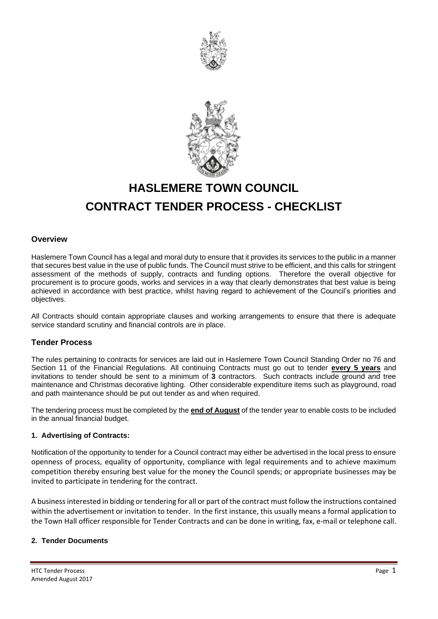



# **HASLEMERE TOWN COUNCIL CONTRACT TENDER PROCESS - CHECKLIST**

# **Overview**

Haslemere Town Council has a legal and moral duty to ensure that it provides its services to the public in a manner that secures best value in the use of public funds. The Council must strive to be efficient, and this calls for stringent assessment of the methods of supply, contracts and funding options. Therefore the overall objective for procurement is to procure goods, works and services in a way that clearly demonstrates that best value is being achieved in accordance with best practice, whilst having regard to achievement of the Council's priorities and objectives.

All Contracts should contain appropriate clauses and working arrangements to ensure that there is adequate service standard scrutiny and financial controls are in place.

# **Tender Process**

The rules pertaining to contracts for services are laid out in Haslemere Town Council Standing Order no 76 and Section 11 of the Financial Regulations. All continuing Contracts must go out to tender **every 5 years** and invitations to tender should be sent to a minimum of **3** contractors.Such contracts include ground and tree maintenance and Christmas decorative lighting. Other considerable expenditure items such as playground, road and path maintenance should be put out tender as and when required.

The tendering process must be completed by the **end of August** of the tender year to enable costs to be included in the annual financial budget.

#### **1. Advertising of Contracts:**

Notification of the opportunity to tender for a Council contract may either be advertised in the local press to ensure openness of process, equality of opportunity, compliance with legal requirements and to achieve maximum competition thereby ensuring best value for the money the Council spends; or appropriate businesses may be invited to participate in tendering for the contract.

A business interested in bidding or tendering for all or part of the contract must follow the instructions contained within the advertisement or invitation to tender. In the first instance, this usually means a formal application to the Town Hall officer responsible for Tender Contracts and can be done in writing, fax, e-mail or telephone call.

#### **2. Tender Documents**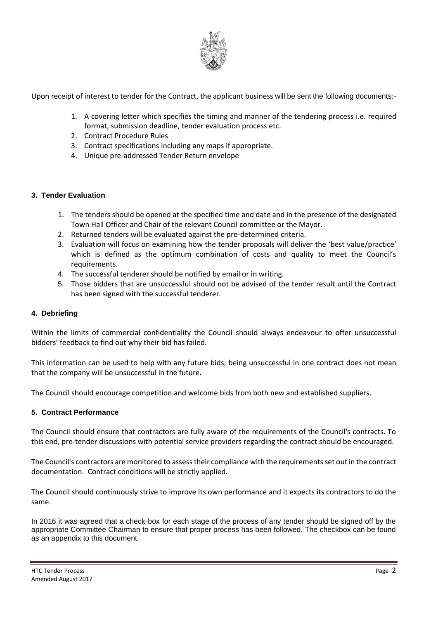

Upon receipt of interest to tender for the Contract, the applicant business will be sent the following documents:-

- 1. A covering letter which specifies the timing and manner of the tendering process i.e. required format, submission deadline, tender evaluation process etc.
- 2. Contract Procedure Rules
- 3. Contract specifications including any maps if appropriate.
- 4. Unique pre-addressed Tender Return envelope

# **3. Tender Evaluation**

- 1. The tenders should be opened at the specified time and date and in the presence of the designated Town Hall Officer and Chair of the relevant Council committee or the Mayor.
- 2. Returned tenders will be evaluated against the pre-determined criteria.
- 3. Evaluation will focus on examining how the tender proposals will deliver the 'best value/practice' which is defined as the optimum combination of costs and quality to meet the Council's requirements.
- 4. The successful tenderer should be notified by email or in writing.
- 5. Those bidders that are unsuccessful should not be advised of the tender result until the Contract has been signed with the successful tenderer.

### **4. Debriefing**

Within the limits of commercial confidentiality the Council should always endeavour to offer unsuccessful bidders' feedback to find out why their bid has failed.

This information can be used to help with any future bids; being unsuccessful in one contract does not mean that the company will be unsuccessful in the future.

The Council should encourage competition and welcome bids from both new and established suppliers.

# **5. Contract Performance**

The Council should ensure that contractors are fully aware of the requirements of the Council's contracts. To this end, pre-tender discussions with potential service providers regarding the contract should be encouraged.

The Council's contractors are monitored to assess their compliance with the requirements set out in the contract documentation. Contract conditions will be strictly applied.

The Council should continuously strive to improve its own performance and it expects its contractors to do the same.

In 2016 it was agreed that a check-box for each stage of the process of any tender should be signed off by the appropriate Committee Chairman to ensure that proper process has been followed. The checkbox can be found as an appendix to this document.